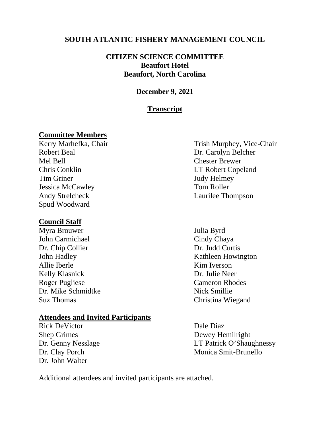### **SOUTH ATLANTIC FISHERY MANAGEMENT COUNCIL**

### **CITIZEN SCIENCE COMMITTEE Beaufort Hotel Beaufort, North Carolina**

### **December 9, 2021**

### **Transcript**

# **Committee Members**

Robert Beal Dr. Carolyn Belcher Mel Bell Chester Brewer Chris Conklin LT Robert Copeland Tim Griner Judy Helmey Jessica McCawley Tom Roller Andy Strelcheck Laurilee Thompson Spud Woodward

### **Council Staff**

Myra Brouwer Julia Byrd John Carmichael Cindy Chaya Dr. Chip Collier Dr. Judd Curtis Allie Iberle Kim Iverson Kelly Klasnick Dr. Julie Neer Roger Pugliese Cameron Rhodes Dr. Mike Schmidtke Nick Smillie Suz Thomas Christina Wiegand

### **Attendees and Invited Participants**

Rick DeVictor Dale Diaz Shep Grimes Dewey Hemilright Dr. John Walter

Trish Murphey, Vice-Chair

John Hadley Kathleen Howington

Dr. Genny Nesslage LT Patrick O'Shaughnessy Dr. Clay Porch Monica Smit-Brunello

Additional attendees and invited participants are attached.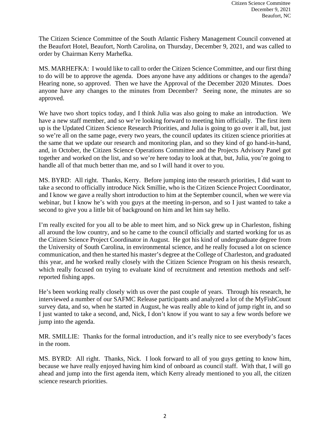The Citizen Science Committee of the South Atlantic Fishery Management Council convened at the Beaufort Hotel, Beaufort, North Carolina, on Thursday, December 9, 2021, and was called to order by Chairman Kerry Marhefka.

MS. MARHEFKA: I would like to call to order the Citizen Science Committee, and our first thing to do will be to approve the agenda. Does anyone have any additions or changes to the agenda? Hearing none, so approved. Then we have the Approval of the December 2020 Minutes. Does anyone have any changes to the minutes from December? Seeing none, the minutes are so approved.

We have two short topics today, and I think Julia was also going to make an introduction. We have a new staff member, and so we're looking forward to meeting him officially. The first item up is the Updated Citizen Science Research Priorities, and Julia is going to go over it all, but, just so we're all on the same page, every two years, the council updates its citizen science priorities at the same that we update our research and monitoring plan, and so they kind of go hand-in-hand, and, in October, the Citizen Science Operations Committee and the Projects Advisory Panel got together and worked on the list, and so we're here today to look at that, but, Julia, you're going to handle all of that much better than me, and so I will hand it over to you.

MS. BYRD: All right. Thanks, Kerry. Before jumping into the research priorities, I did want to take a second to officially introduce Nick Smillie, who is the Citizen Science Project Coordinator, and I know we gave a really short introduction to him at the September council, when we were via webinar, but I know he's with you guys at the meeting in-person, and so I just wanted to take a second to give you a little bit of background on him and let him say hello.

I'm really excited for you all to be able to meet him, and so Nick grew up in Charleston, fishing all around the low country, and so he came to the council officially and started working for us as the Citizen Science Project Coordinator in August. He got his kind of undergraduate degree from the University of South Carolina, in environmental science, and he really focused a lot on science communication, and then he started his master's degree at the College of Charleston, and graduated this year, and he worked really closely with the Citizen Science Program on his thesis research, which really focused on trying to evaluate kind of recruitment and retention methods and selfreported fishing apps.

He's been working really closely with us over the past couple of years. Through his research, he interviewed a number of our SAFMC Release participants and analyzed a lot of the MyFishCount survey data, and so, when he started in August, he was really able to kind of jump right in, and so I just wanted to take a second, and, Nick, I don't know if you want to say a few words before we jump into the agenda.

MR. SMILLIE: Thanks for the formal introduction, and it's really nice to see everybody's faces in the room.

MS. BYRD: All right. Thanks, Nick. I look forward to all of you guys getting to know him, because we have really enjoyed having him kind of onboard as council staff. With that, I will go ahead and jump into the first agenda item, which Kerry already mentioned to you all, the citizen science research priorities.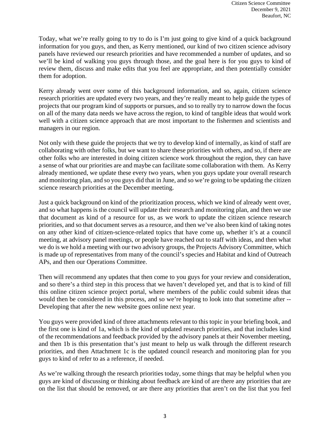Today, what we're really going to try to do is I'm just going to give kind of a quick background information for you guys, and then, as Kerry mentioned, our kind of two citizen science advisory panels have reviewed our research priorities and have recommended a number of updates, and so we'll be kind of walking you guys through those, and the goal here is for you guys to kind of review them, discuss and make edits that you feel are appropriate, and then potentially consider them for adoption.

Kerry already went over some of this background information, and so, again, citizen science research priorities are updated every two years, and they're really meant to help guide the types of projects that our program kind of supports or pursues, and so to really try to narrow down the focus on all of the many data needs we have across the region, to kind of tangible ideas that would work well with a citizen science approach that are most important to the fishermen and scientists and managers in our region.

Not only with these guide the projects that we try to develop kind of internally, as kind of staff are collaborating with other folks, but we want to share these priorities with others, and so, if there are other folks who are interested in doing citizen science work throughout the region, they can have a sense of what our priorities are and maybe can facilitate some collaboration with them. As Kerry already mentioned, we update these every two years, when you guys update your overall research and monitoring plan, and so you guys did that in June, and so we're going to be updating the citizen science research priorities at the December meeting.

Just a quick background on kind of the prioritization process, which we kind of already went over, and so what happens is the council will update their research and monitoring plan, and then we use that document as kind of a resource for us, as we work to update the citizen science research priorities, and so that document serves as a resource, and then we've also been kind of taking notes on any other kind of citizen-science-related topics that have come up, whether it's at a council meeting, at advisory panel meetings, or people have reached out to staff with ideas, and then what we do is we hold a meeting with our two advisory groups, the Projects Advisory Committee, which is made up of representatives from many of the council's species and Habitat and kind of Outreach APs, and then our Operations Committee.

Then will recommend any updates that then come to you guys for your review and consideration, and so there's a third step in this process that we haven't developed yet, and that is to kind of fill this online citizen science project portal, where members of the public could submit ideas that would then be considered in this process, and so we're hoping to look into that sometime after -- Developing that after the new website goes online next year.

You guys were provided kind of three attachments relevant to this topic in your briefing book, and the first one is kind of 1a, which is the kind of updated research priorities, and that includes kind of the recommendations and feedback provided by the advisory panels at their November meeting, and then 1b is this presentation that's just meant to help us walk through the different research priorities, and then Attachment 1c is the updated council research and monitoring plan for you guys to kind of refer to as a reference, if needed.

As we're walking through the research priorities today, some things that may be helpful when you guys are kind of discussing or thinking about feedback are kind of are there any priorities that are on the list that should be removed, or are there any priorities that aren't on the list that you feel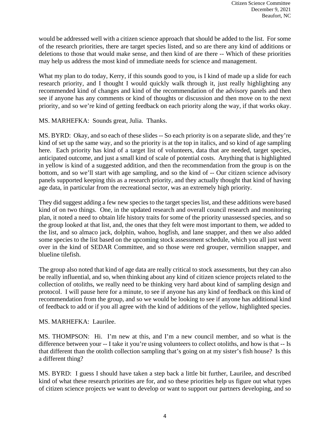would be addressed well with a citizen science approach that should be added to the list. For some of the research priorities, there are target species listed, and so are there any kind of additions or deletions to those that would make sense, and then kind of are there -- Which of these priorities may help us address the most kind of immediate needs for science and management.

What my plan to do today, Kerry, if this sounds good to you, is I kind of made up a slide for each research priority, and I thought I would quickly walk through it, just really highlighting any recommended kind of changes and kind of the recommendation of the advisory panels and then see if anyone has any comments or kind of thoughts or discussion and then move on to the next priority, and so we're kind of getting feedback on each priority along the way, if that works okay.

MS. MARHEFKA: Sounds great, Julia. Thanks.

MS. BYRD: Okay, and so each of these slides -- So each priority is on a separate slide, and they're kind of set up the same way, and so the priority is at the top in italics, and so kind of age sampling here. Each priority has kind of a target list of volunteers, data that are needed, target species, anticipated outcome, and just a small kind of scale of potential costs. Anything that is highlighted in yellow is kind of a suggested addition, and then the recommendation from the group is on the bottom, and so we'll start with age sampling, and so the kind of -- Our citizen science advisory panels supported keeping this as a research priority, and they actually thought that kind of having age data, in particular from the recreational sector, was an extremely high priority.

They did suggest adding a few new species to the target species list, and these additions were based kind of on two things. One, in the updated research and overall council research and monitoring plan, it noted a need to obtain life history traits for some of the priority unassessed species, and so the group looked at that list, and, the ones that they felt were most important to them, we added to the list, and so almaco jack, dolphin, wahoo, hogfish, and lane snapper, and then we also added some species to the list based on the upcoming stock assessment schedule, which you all just went over in the kind of SEDAR Committee, and so those were red grouper, vermilion snapper, and blueline tilefish.

The group also noted that kind of age data are really critical to stock assessments, but they can also be really influential, and so, when thinking about any kind of citizen science projects related to the collection of otoliths, we really need to be thinking very hard about kind of sampling design and protocol. I will pause here for a minute, to see if anyone has any kind of feedback on this kind of recommendation from the group, and so we would be looking to see if anyone has additional kind of feedback to add or if you all agree with the kind of additions of the yellow, highlighted species.

### MS. MARHEFKA: Laurilee.

MS. THOMPSON: Hi. I'm new at this, and I'm a new council member, and so what is the difference between your -- I take it you're using volunteers to collect otoliths, and how is that -- Is that different than the otolith collection sampling that's going on at my sister's fish house? Is this a different thing?

MS. BYRD: I guess I should have taken a step back a little bit further, Laurilee, and described kind of what these research priorities are for, and so these priorities help us figure out what types of citizen science projects we want to develop or want to support our partners developing, and so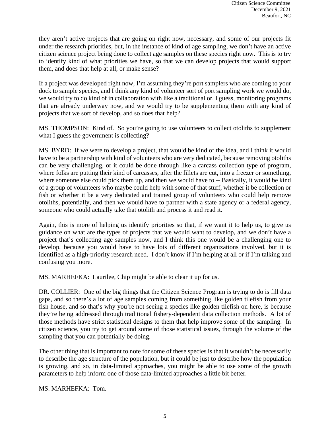they aren't active projects that are going on right now, necessary, and some of our projects fit under the research priorities, but, in the instance of kind of age sampling, we don't have an active citizen science project being done to collect age samples on these species right now. This is to try to identify kind of what priorities we have, so that we can develop projects that would support them, and does that help at all, or make sense?

If a project was developed right now, I'm assuming they're port samplers who are coming to your dock to sample species, and I think any kind of volunteer sort of port sampling work we would do, we would try to do kind of in collaboration with like a traditional or, I guess, monitoring programs that are already underway now, and we would try to be supplementing them with any kind of projects that we sort of develop, and so does that help?

MS. THOMPSON: Kind of. So you're going to use volunteers to collect otoliths to supplement what I guess the government is collecting?

MS. BYRD: If we were to develop a project, that would be kind of the idea, and I think it would have to be a partnership with kind of volunteers who are very dedicated, because removing otoliths can be very challenging, or it could be done through like a carcass collection type of program, where folks are putting their kind of carcasses, after the fillets are cut, into a freezer or something, where someone else could pick them up, and then we would have to -- Basically, it would be kind of a group of volunteers who maybe could help with some of that stuff, whether it be collection or fish or whether it be a very dedicated and trained group of volunteers who could help remove otoliths, potentially, and then we would have to partner with a state agency or a federal agency, someone who could actually take that otolith and process it and read it.

Again, this is more of helping us identify priorities so that, if we want it to help us, to give us guidance on what are the types of projects that we would want to develop, and we don't have a project that's collecting age samples now, and I think this one would be a challenging one to develop, because you would have to have lots of different organizations involved, but it is identified as a high-priority research need. I don't know if I'm helping at all or if I'm talking and confusing you more.

MS. MARHEFKA: Laurilee, Chip might be able to clear it up for us.

DR. COLLIER: One of the big things that the Citizen Science Program is trying to do is fill data gaps, and so there's a lot of age samples coming from something like golden tilefish from your fish house, and so that's why you're not seeing a species like golden tilefish on here, is because they're being addressed through traditional fishery-dependent data collection methods. A lot of those methods have strict statistical designs to them that help improve some of the sampling. In citizen science, you try to get around some of those statistical issues, through the volume of the sampling that you can potentially be doing.

The other thing that is important to note for some of these species is that it wouldn't be necessarily to describe the age structure of the population, but it could be just to describe how the population is growing, and so, in data-limited approaches, you might be able to use some of the growth parameters to help inform one of those data-limited approaches a little bit better.

MS. MARHEFKA: Tom.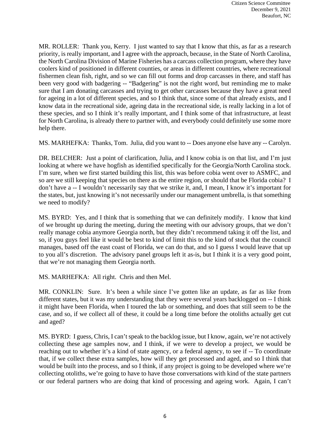MR. ROLLER: Thank you, Kerry. I just wanted to say that I know that this, as far as a research priority, is really important, and I agree with the approach, because, in the State of North Carolina, the North Carolina Division of Marine Fisheries has a carcass collection program, where they have coolers kind of positioned in different counties, or areas in different countries, where recreational fishermen clean fish, right, and so we can fill out forms and drop carcasses in there, and staff has been very good with badgering -- "Badgering" is not the right word, but reminding me to make sure that I am donating carcasses and trying to get other carcasses because they have a great need for ageing in a lot of different species, and so I think that, since some of that already exists, and I know data in the recreational side, ageing data in the recreational side, is really lacking in a lot of these species, and so I think it's really important, and I think some of that infrastructure, at least for North Carolina, is already there to partner with, and everybody could definitely use some more help there.

MS. MARHEFKA: Thanks, Tom. Julia, did you want to -- Does anyone else have any -- Carolyn.

DR. BELCHER: Just a point of clarification, Julia, and I know cobia is on that list, and I'm just looking at where we have hogfish as identified specifically for the Georgia/North Carolina stock. I'm sure, when we first started building this list, this was before cobia went over to ASMFC, and so are we still keeping that species on there as the entire region, or should that be Florida cobia? I don't have a -- I wouldn't necessarily say that we strike it, and, I mean, I know it's important for the states, but, just knowing it's not necessarily under our management umbrella, is that something we need to modify?

MS. BYRD: Yes, and I think that is something that we can definitely modify. I know that kind of we brought up during the meeting, during the meeting with our advisory groups, that we don't really manage cobia anymore Georgia north, but they didn't recommend taking it off the list, and so, if you guys feel like it would be best to kind of limit this to the kind of stock that the council manages, based off the east coast of Florida, we can do that, and so I guess I would leave that up to you all's discretion. The advisory panel groups left it as-is, but I think it is a very good point, that we're not managing them Georgia north.

MS. MARHEFKA: All right. Chris and then Mel.

MR. CONKLIN: Sure. It's been a while since I've gotten like an update, as far as like from different states, but it was my understanding that they were several years backlogged on -- I think it might have been Florida, when I toured the lab or something, and does that still seem to be the case, and so, if we collect all of these, it could be a long time before the otoliths actually get cut and aged?

MS. BYRD: I guess, Chris, I can't speak to the backlog issue, but I know, again, we're not actively collecting these age samples now, and I think, if we were to develop a project, we would be reaching out to whether it's a kind of state agency, or a federal agency, to see if -- To coordinate that, if we collect these extra samples, how will they get processed and aged, and so I think that would be built into the process, and so I think, if any project is going to be developed where we're collecting otoliths, we're going to have to have those conversations with kind of the state partners or our federal partners who are doing that kind of processing and ageing work. Again, I can't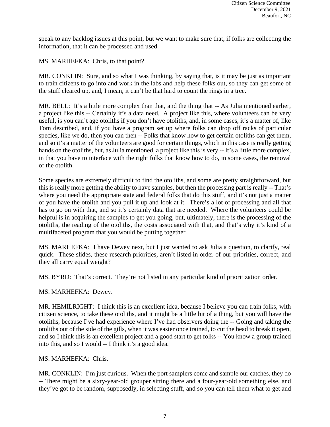speak to any backlog issues at this point, but we want to make sure that, if folks are collecting the information, that it can be processed and used.

MS. MARHEFKA: Chris, to that point?

MR. CONKLIN: Sure, and so what I was thinking, by saying that, is it may be just as important to train citizens to go into and work in the labs and help these folks out, so they can get some of the stuff cleared up, and, I mean, it can't be that hard to count the rings in a tree.

MR. BELL: It's a little more complex than that, and the thing that -- As Julia mentioned earlier, a project like this -- Certainly it's a data need. A project like this, where volunteers can be very useful, is you can't age otoliths if you don't have otoliths, and, in some cases, it's a matter of, like Tom described, and, if you have a program set up where folks can drop off racks of particular species, like we do, then you can then -- Folks that know how to get certain otoliths can get them, and so it's a matter of the volunteers are good for certain things, which in this case is really getting hands on the otoliths, but, as Julia mentioned, a project like this is very -- It's a little more complex, in that you have to interface with the right folks that know how to do, in some cases, the removal of the otolith.

Some species are extremely difficult to find the otoliths, and some are pretty straightforward, but this is really more getting the ability to have samples, but then the processing part is really -- That's where you need the appropriate state and federal folks that do this stuff, and it's not just a matter of you have the otolith and you pull it up and look at it. There's a lot of processing and all that has to go on with that, and so it's certainly data that are needed. Where the volunteers could be helpful is in acquiring the samples to get you going, but, ultimately, there is the processing of the otoliths, the reading of the otoliths, the costs associated with that, and that's why it's kind of a multifaceted program that you would be putting together.

MS. MARHEFKA: I have Dewey next, but I just wanted to ask Julia a question, to clarify, real quick. These slides, these research priorities, aren't listed in order of our priorities, correct, and they all carry equal weight?

MS. BYRD: That's correct. They're not listed in any particular kind of prioritization order.

MS. MARHEFKA: Dewey.

MR. HEMILRIGHT: I think this is an excellent idea, because I believe you can train folks, with citizen science, to take these otoliths, and it might be a little bit of a thing, but you will have the otoliths, because I've had experience where I've had observers doing the -- Going and taking the otoliths out of the side of the gills, when it was easier once trained, to cut the head to break it open, and so I think this is an excellent project and a good start to get folks -- You know a group trained into this, and so I would -- I think it's a good idea.

MS. MARHEFKA: Chris.

MR. CONKLIN: I'm just curious. When the port samplers come and sample our catches, they do -- There might be a sixty-year-old grouper sitting there and a four-year-old something else, and they've got to be random, supposedly, in selecting stuff, and so you can tell them what to get and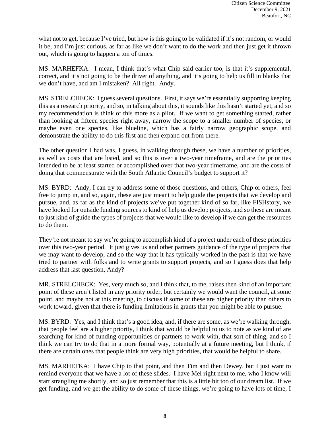what not to get, because I've tried, but how is this going to be validated if it's not random, or would it be, and I'm just curious, as far as like we don't want to do the work and then just get it thrown out, which is going to happen a ton of times.

MS. MARHEFKA: I mean, I think that's what Chip said earlier too, is that it's supplemental, correct, and it's not going to be the driver of anything, and it's going to help us fill in blanks that we don't have, and am I mistaken? All right. Andy.

MS. STRELCHECK: I guess several questions. First, it says we're essentially supporting keeping this as a research priority, and so, in talking about this, it sounds like this hasn't started yet, and so my recommendation is think of this more as a pilot. If we want to get something started, rather than looking at fifteen species right away, narrow the scope to a smaller number of species, or maybe even one species, like blueline, which has a fairly narrow geographic scope, and demonstrate the ability to do this first and then expand out from there.

The other question I had was, I guess, in walking through these, we have a number of priorities, as well as costs that are listed, and so this is over a two-year timeframe, and are the priorities intended to be at least started or accomplished over that two-year timeframe, and are the costs of doing that commensurate with the South Atlantic Council's budget to support it?

MS. BYRD: Andy, I can try to address some of those questions, and others, Chip or others, feel free to jump in, and so, again, these are just meant to help guide the projects that we develop and pursue, and, as far as the kind of projects we've put together kind of so far, like FISHstory, we have looked for outside funding sources to kind of help us develop projects, and so these are meant to just kind of guide the types of projects that we would like to develop if we can get the resources to do them.

They're not meant to say we're going to accomplish kind of a project under each of these priorities over this two-year period. It just gives us and other partners guidance of the type of projects that we may want to develop, and so the way that it has typically worked in the past is that we have tried to partner with folks and to write grants to support projects, and so I guess does that help address that last question, Andy?

MR. STRELCHECK: Yes, very much so, and I think that, to me, raises then kind of an important point of these aren't listed in any priority order, but certainly we would want the council, at some point, and maybe not at this meeting, to discuss if some of these are higher priority than others to work toward, given that there is funding limitations in grants that you might be able to pursue.

MS. BYRD: Yes, and I think that's a good idea, and, if there are some, as we're walking through, that people feel are a higher priority, I think that would be helpful to us to note as we kind of are searching for kind of funding opportunities or partners to work with, that sort of thing, and so I think we can try to do that in a more formal way, potentially at a future meeting, but I think, if there are certain ones that people think are very high priorities, that would be helpful to share.

MS. MARHEFKA: I have Chip to that point, and then Tim and then Dewey, but I just want to remind everyone that we have a lot of these slides. I have Mel right next to me, who I know will start strangling me shortly, and so just remember that this is a little bit too of our dream list. If we get funding, and we get the ability to do some of these things, we're going to have lots of time, I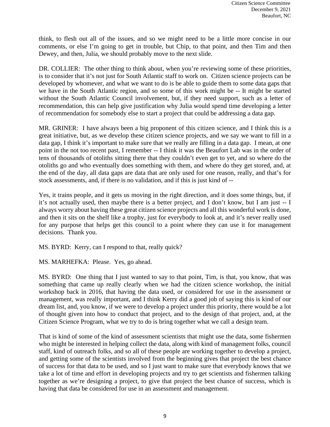think, to flesh out all of the issues, and so we might need to be a little more concise in our comments, or else I'm going to get in trouble, but Chip, to that point, and then Tim and then Dewey, and then, Julia, we should probably move to the next slide.

DR. COLLIER: The other thing to think about, when you're reviewing some of these priorities, is to consider that it's not just for South Atlantic staff to work on. Citizen science projects can be developed by whomever, and what we want to do is be able to guide them to some data gaps that we have in the South Atlantic region, and so some of this work might be -- It might be started without the South Atlantic Council involvement, but, if they need support, such as a letter of recommendation, this can help give justification why Julia would spend time developing a letter of recommendation for somebody else to start a project that could be addressing a data gap.

MR. GRINER: I have always been a big proponent of this citizen science, and I think this is a great initiative, but, as we develop these citizen science projects, and we say we want to fill in a data gap, I think it's important to make sure that we really are filling in a data gap. I mean, at one point in the not too recent past, I remember -- I think it was the Beaufort Lab was in the order of tens of thousands of otoliths sitting there that they couldn't even get to yet, and so where do the otoliths go and who eventually does something with them, and where do they get stored, and, at the end of the day, all data gaps are data that are only used for one reason, really, and that's for stock assessments, and, if there is no validation, and if this is just kind of --

Yes, it trains people, and it gets us moving in the right direction, and it does some things, but, if it's not actually used, then maybe there is a better project, and I don't know, but I am just -- I always worry about having these great citizen science projects and all this wonderful work is done, and then it sits on the shelf like a trophy, just for everybody to look at, and it's never really used for any purpose that helps get this council to a point where they can use it for management decisions. Thank you.

MS. BYRD: Kerry, can I respond to that, really quick?

MS. MARHEFKA: Please. Yes, go ahead.

MS. BYRD: One thing that I just wanted to say to that point, Tim, is that, you know, that was something that came up really clearly when we had the citizen science workshop, the initial workshop back in 2016, that having the data used, or considered for use in the assessment or management, was really important, and I think Kerry did a good job of saying this is kind of our dream list, and, you know, if we were to develop a project under this priority, there would be a lot of thought given into how to conduct that project, and to the design of that project, and, at the Citizen Science Program, what we try to do is bring together what we call a design team.

That is kind of some of the kind of assessment scientists that might use the data, some fishermen who might be interested in helping collect the data, along with kind of management folks, council staff, kind of outreach folks, and so all of these people are working together to develop a project, and getting some of the scientists involved from the beginning gives that project the best chance of success for that data to be used, and so I just want to make sure that everybody knows that we take a lot of time and effort in developing projects and try to get scientists and fishermen talking together as we're designing a project, to give that project the best chance of success, which is having that data be considered for use in an assessment and management.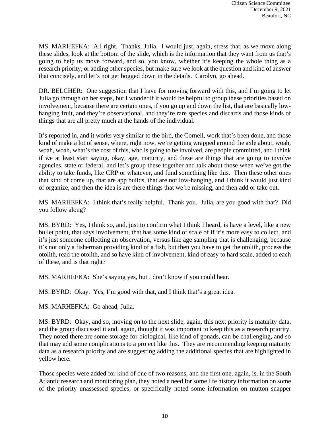MS. MARHEFKA: All right. Thanks, Julia. I would just, again, stress that, as we move along these slides, look at the bottom of the slide, which is the information that they want from us that's going to help us move forward, and so, you know, whether it's keeping the whole thing as a research priority, or adding other species, but make sure we look at the question and kind of answer that concisely, and let's not get bogged down in the details. Carolyn, go ahead.

DR. BELCHER: One suggestion that I have for moving forward with this, and I'm going to let Julia go through on her steps, but I wonder if it would be helpful to group these priorities based on involvement, because there are certain ones, if you go up and down the list, that are basically lowhanging fruit, and they're observational, and they're rare species and discards and those kinds of things that are all pretty much at the hands of the individual.

It's reported in, and it works very similar to the bird, the Cornell, work that's been done, and those kind of make a lot of sense, where, right now, we're getting wrapped around the axle about, woah, woah, woah, what's the cost of this, who is going to be involved, are people committed, and I think if we at least start saying, okay, age, maturity, and these are things that are going to involve agencies, state or federal, and let's group these together and talk about those when we've got the ability to take funds, like CRP or whatever, and fund something like this. Then these other ones that kind of come up, that are app builds, that are not low-hanging, and I think it would just kind of organize, and then the idea is are there things that we're missing, and then add or take out.

MS. MARHEFKA: I think that's really helpful. Thank you. Julia, are you good with that? Did you follow along?

MS. BYRD: Yes, I think so, and, just to confirm what I think I heard, is have a level, like a new bullet point, that says involvement, that has some kind of scale of if it's more easy to collect, and it's just someone collecting an observation, versus like age sampling that is challenging, because it's not only a fisherman providing kind of a fish, but then you have to get the otolith, process the otolith, read the otolith, and so have kind of involvement, kind of easy to hard scale, added to each of these, and is that right?

MS. MARHEFKA: She's saying yes, but I don't know if you could hear.

MS. BYRD: Okay. Yes, I'm good with that, and I think that's a great idea.

MS. MARHEFKA: Go ahead, Julia.

MS. BYRD: Okay, and so, moving on to the next slide, again, this next priority is maturity data, and the group discussed it and, again, thought it was important to keep this as a research priority. They noted there are some storage for biological, like kind of gonads, can be challenging, and so that may add some complications to a project like this. They are recommending keeping maturity data as a research priority and are suggesting adding the additional species that are highlighted in yellow here.

Those species were added for kind of one of two reasons, and the first one, again, is, in the South Atlantic research and monitoring plan, they noted a need for some life history information on some of the priority unassessed species, or specifically noted some information on mutton snapper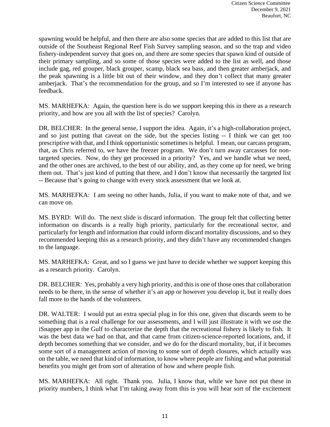spawning would be helpful, and then there are also some species that are added to this list that are outside of the Southeast Regional Reef Fish Survey sampling season, and so the trap and video fishery-independent survey that goes on, and there are some species that spawn kind of outside of their primary sampling, and so some of those species were added to the list as well, and those include gag, red grouper, black grouper, scamp, black sea bass, and then greater amberjack, and the peak spawning is a little bit out of their window, and they don't collect that many greater amberjack. That's the recommendation for the group, and so I'm interested to see if anyone has feedback.

MS. MARHEFKA: Again, the question here is do we support keeping this in there as a research priority, and how are you all with the list of species? Carolyn.

DR. BELCHER: In the general sense, I support the idea. Again, it's a high-collaboration project, and so just putting that caveat on the side, but the species listing -- I think we can get too prescriptive with that, and I think opportunistic sometimes is helpful. I mean, our carcass program, that, as Chris referred to, we have the freezer program. We don't turn away carcasses for nontargeted species. Now, do they get processed in a priority? Yes, and we handle what we need, and the other ones are archived, to the best of our ability, and, as they come up for need, we bring them out. That's just kind of putting that there, and I don't know that necessarily the targeted list -- Because that's going to change with every stock assessment that we look at.

MS. MARHEFKA: I am seeing no other hands, Julia, if you want to make note of that, and we can move on.

MS. BYRD: Will do. The next slide is discard information. The group felt that collecting better information on discards is a really high priority, particularly for the recreational sector, and particularly for length and information that could inform discard mortality discussions, and so they recommended keeping this as a research priority, and they didn't have any recommended changes to the language.

MS. MARHEFKA: Great, and so I guess we just have to decide whether we support keeping this as a research priority. Carolyn.

DR. BELCHER: Yes, probably a very high priority, and this is one of those ones that collaboration needs to be there, in the sense of whether it's an app or however you develop it, but it really does fall more to the hands of the volunteers.

DR. WALTER: I would put an extra special plug in for this one, given that discards seem to be something that is a real challenge for our assessments, and I will just illustrate it with we use the iSnapper app in the Gulf to characterize the depth that the recreational fishery is likely to fish. It was the best data we had on that, and that came from citizen-science-reported locations, and, if depth becomes something that we consider, and we do for the discard mortality, but, if it becomes some sort of a management action of moving to some sort of depth closures, which actually was on the table, we need that kind of information, to know where people are fishing and what potential benefits you might get from sort of alteration of how and where people fish.

MS. MARHEFKA: All right. Thank you. Julia, I know that, while we have not put these in priority numbers, I think what I'm taking away from this is you will hear sort of the excitement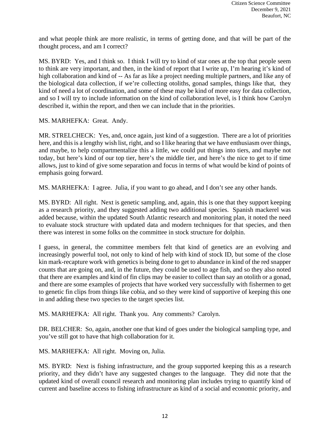and what people think are more realistic, in terms of getting done, and that will be part of the thought process, and am I correct?

MS. BYRD: Yes, and I think so. I think I will try to kind of star ones at the top that people seem to think are very important, and then, in the kind of report that I write up, I'm hearing it's kind of high collaboration and kind of -- As far as like a project needing multiple partners, and like any of the biological data collection, if we're collecting otoliths, gonad samples, things like that, they kind of need a lot of coordination, and some of these may be kind of more easy for data collection, and so I will try to include information on the kind of collaboration level, is I think how Carolyn described it, within the report, and then we can include that in the priorities.

MS. MARHEFKA: Great. Andy.

MR. STRELCHECK: Yes, and, once again, just kind of a suggestion. There are a lot of priorities here, and this is a lengthy wish list, right, and so I like hearing that we have enthusiasm over things, and maybe, to help compartmentalize this a little, we could put things into tiers, and maybe not today, but here's kind of our top tier, here's the middle tier, and here's the nice to get to if time allows, just to kind of give some separation and focus in terms of what would be kind of points of emphasis going forward.

MS. MARHEFKA: I agree. Julia, if you want to go ahead, and I don't see any other hands.

MS. BYRD: All right. Next is genetic sampling, and, again, this is one that they support keeping as a research priority, and they suggested adding two additional species. Spanish mackerel was added because, within the updated South Atlantic research and monitoring plan, it noted the need to evaluate stock structure with updated data and modern techniques for that species, and then there was interest in some folks on the committee in stock structure for dolphin.

I guess, in general, the committee members felt that kind of genetics are an evolving and increasingly powerful tool, not only to kind of help with kind of stock ID, but some of the close kin mark-recapture work with genetics is being done to get to abundance in kind of the red snapper counts that are going on, and, in the future, they could be used to age fish, and so they also noted that there are examples and kind of fin clips may be easier to collect than say an otolith or a gonad, and there are some examples of projects that have worked very successfully with fishermen to get to genetic fin clips from things like cobia, and so they were kind of supportive of keeping this one in and adding these two species to the target species list.

MS. MARHEFKA: All right. Thank you. Any comments? Carolyn.

DR. BELCHER: So, again, another one that kind of goes under the biological sampling type, and you've still got to have that high collaboration for it.

MS. MARHEFKA: All right. Moving on, Julia.

MS. BYRD: Next is fishing infrastructure, and the group supported keeping this as a research priority, and they didn't have any suggested changes to the language. They did note that the updated kind of overall council research and monitoring plan includes trying to quantify kind of current and baseline access to fishing infrastructure as kind of a social and economic priority, and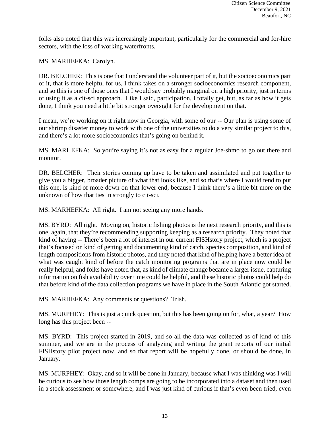folks also noted that this was increasingly important, particularly for the commercial and for-hire sectors, with the loss of working waterfronts.

MS. MARHEFKA: Carolyn.

DR. BELCHER: This is one that I understand the volunteer part of it, but the socioeconomics part of it, that is more helpful for us, I think takes on a stronger socioeconomics research component, and so this is one of those ones that I would say probably marginal on a high priority, just in terms of using it as a cit-sci approach. Like I said, participation, I totally get, but, as far as how it gets done, I think you need a little bit stronger oversight for the development on that.

I mean, we're working on it right now in Georgia, with some of our -- Our plan is using some of our shrimp disaster money to work with one of the universities to do a very similar project to this, and there's a lot more socioeconomics that's going on behind it.

MS. MARHEFKA: So you're saying it's not as easy for a regular Joe-shmo to go out there and monitor.

DR. BELCHER: Their stories coming up have to be taken and assimilated and put together to give you a bigger, broader picture of what that looks like, and so that's where I would tend to put this one, is kind of more down on that lower end, because I think there's a little bit more on the unknown of how that ties in strongly to cit-sci.

MS. MARHEFKA: All right. I am not seeing any more hands.

MS. BYRD: All right. Moving on, historic fishing photos is the next research priority, and this is one, again, that they're recommending supporting keeping as a research priority. They noted that kind of having -- There's been a lot of interest in our current FISHstory project, which is a project that's focused on kind of getting and documenting kind of catch, species composition, and kind of length compositions from historic photos, and they noted that kind of helping have a better idea of what was caught kind of before the catch monitoring programs that are in place now could be really helpful, and folks have noted that, as kind of climate change became a larger issue, capturing information on fish availability over time could be helpful, and these historic photos could help do that before kind of the data collection programs we have in place in the South Atlantic got started.

MS. MARHEFKA: Any comments or questions? Trish.

MS. MURPHEY: This is just a quick question, but this has been going on for, what, a year? How long has this project been --

MS. BYRD: This project started in 2019, and so all the data was collected as of kind of this summer, and we are in the process of analyzing and writing the grant reports of our initial FISHstory pilot project now, and so that report will be hopefully done, or should be done, in January.

MS. MURPHEY: Okay, and so it will be done in January, because what I was thinking was I will be curious to see how those length comps are going to be incorporated into a dataset and then used in a stock assessment or somewhere, and I was just kind of curious if that's even been tried, even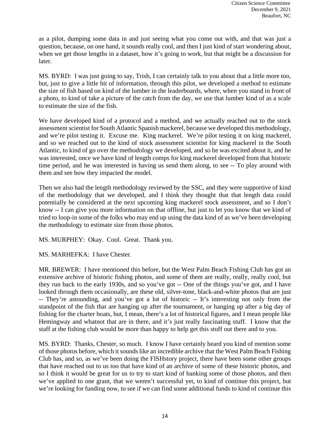as a pilot, dumping some data in and just seeing what you come out with, and that was just a question, because, on one hand, it sounds really cool, and then I just kind of start wondering about, when we get those lengths in a dataset, how it's going to work, but that might be a discussion for later.

MS. BYRD: I was just going to say, Trish, I can certainly talk to you about that a little more too, but, just to give a little bit of information, through this pilot, we developed a method to estimate the size of fish based on kind of the lumber in the leaderboards, where, when you stand in front of a photo, to kind of take a picture of the catch from the day, we use that lumber kind of as a scale to estimate the size of the fish.

We have developed kind of a protocol and a method, and we actually reached out to the stock assessment scientist for South Atlantic Spanish mackerel, because we developed this methodology, and we're pilot testing it. Excuse me. King mackerel. We're pilot testing it on king mackerel, and so we reached out to the kind of stock assessment scientist for king mackerel in the South Atlantic, to kind of go over the methodology we developed, and so he was excited about it, and he was interested, once we have kind of length comps for king mackerel developed from that historic time period, and he was interested in having us send them along, to see -- To play around with them and see how they impacted the model.

Then we also had the length methodology reviewed by the SSC, and they were supportive of kind of the methodology that we developed, and I think they thought that that length data could potentially be considered at the next upcoming king mackerel stock assessment, and so I don't know -- I can give you more information on that offline, but just to let you know that we kind of tried to loop-in some of the folks who may end up using the data kind of as we've been developing the methodology to estimate size from those photos.

MS. MURPHEY: Okay. Cool. Great. Thank you.

MS. MARHEFKA: I have Chester.

MR. BREWER: I have mentioned this before, but the West Palm Beach Fishing Club has got an extensive archive of historic fishing photos, and some of them are really, really, really cool, but they run back to the early 1930s, and so you've got -- One of the things you've got, and I have looked through them occasionally, are these old, silver-tone, black-and-white photos that are just -- They're astounding, and you've got a lot of historic -- It's interesting not only from the standpoint of the fish that are hanging up after the tournament, or hanging up after a big day of fishing for the charter boats, but, I mean, there's a lot of historical figures, and I mean people like Hemingway and whatnot that are in there, and it's just really fascinating stuff. I know that the staff at the fishing club would be more than happy to help get this stuff out there and to you.

MS. BYRD: Thanks, Chester, so much. I know I have certainly heard you kind of mention some of those photos before, which it sounds like an incredible archive that the West Palm Beach Fishing Club has, and so, as we've been doing the FISHstory project, there have been some other groups that have reached out to us too that have kind of an archive of some of these historic photos, and so I think it would be great for us to try to start kind of banking some of those photos, and then we've applied to one grant, that we weren't successful yet, to kind of continue this project, but we're looking for funding now, to see if we can find some additional funds to kind of continue this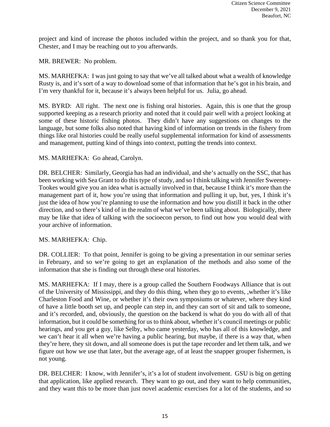project and kind of increase the photos included within the project, and so thank you for that, Chester, and I may be reaching out to you afterwards.

MR. BREWER: No problem.

MS. MARHEFKA: I was just going to say that we've all talked about what a wealth of knowledge Rusty is, and it's sort of a way to download some of that information that he's got in his brain, and I'm very thankful for it, because it's always been helpful for us. Julia, go ahead.

MS. BYRD: All right. The next one is fishing oral histories. Again, this is one that the group supported keeping as a research priority and noted that it could pair well with a project looking at some of these historic fishing photos. They didn't have any suggestions on changes to the language, but some folks also noted that having kind of information on trends in the fishery from things like oral histories could be really useful supplemental information for kind of assessments and management, putting kind of things into context, putting the trends into context.

### MS. MARHEFKA: Go ahead, Carolyn.

DR. BELCHER: Similarly, Georgia has had an individual, and she's actually on the SSC, that has been working with Sea Grant to do this type of study, and so I think talking with Jennifer Sweeney-Tookes would give you an idea what is actually involved in that, because I think it's more than the management part of it, how you're using that information and pulling it up, but, yes, I think it's just the idea of how you're planning to use the information and how you distill it back in the other direction, and so there's kind of in the realm of what we've been talking about. Biologically, there may be like that idea of talking with the socioecon person, to find out how you would deal with your archive of information.

MS. MARHEFKA: Chip.

DR. COLLIER: To that point, Jennifer is going to be giving a presentation in our seminar series in February, and so we're going to get an explanation of the methods and also some of the information that she is finding out through these oral histories.

MS. MARHEFKA: If I may, there is a group called the Southern Foodways Alliance that is out of the University of Mississippi, and they do this thing, when they go to events, ,whether it's like Charleston Food and Wine, or whether it's their own symposiums or whatever, where they kind of have a little booth set up, and people can step in, and they can sort of sit and talk to someone, and it's recorded, and, obviously, the question on the backend is what do you do with all of that information, but it could be something for us to think about, whether it's council meetings or public hearings, and you get a guy, like Selby, who came yesterday, who has all of this knowledge, and we can't hear it all when we're having a public hearing, but maybe, if there is a way that, when they're here, they sit down, and all someone does is put the tape recorder and let them talk, and we figure out how we use that later, but the average age, of at least the snapper grouper fishermen, is not young.

DR. BELCHER: I know, with Jennifer's, it's a lot of student involvement. GSU is big on getting that application, like applied research. They want to go out, and they want to help communities, and they want this to be more than just novel academic exercises for a lot of the students, and so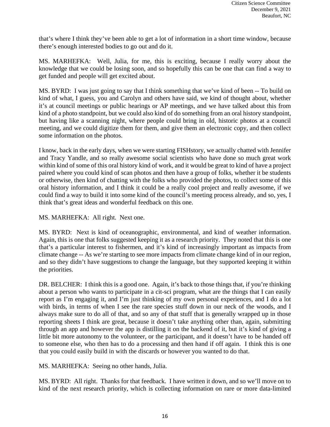that's where I think they've been able to get a lot of information in a short time window, because there's enough interested bodies to go out and do it.

MS. MARHEFKA: Well, Julia, for me, this is exciting, because I really worry about the knowledge that we could be losing soon, and so hopefully this can be one that can find a way to get funded and people will get excited about.

MS. BYRD: I was just going to say that I think something that we've kind of been -- To build on kind of what, I guess, you and Carolyn and others have said, we kind of thought about, whether it's at council meetings or public hearings or AP meetings, and we have talked about this from kind of a photo standpoint, but we could also kind of do something from an oral history standpoint, but having like a scanning night, where people could bring in old, historic photos at a council meeting, and we could digitize them for them, and give them an electronic copy, and then collect some information on the photos.

I know, back in the early days, when we were starting FISHstory, we actually chatted with Jennifer and Tracy Yandle, and so really awesome social scientists who have done so much great work within kind of some of this oral history kind of work, and it would be great to kind of have a project paired where you could kind of scan photos and then have a group of folks, whether it be students or otherwise, then kind of chatting with the folks who provided the photos, to collect some of this oral history information, and I think it could be a really cool project and really awesome, if we could find a way to build it into some kind of the council's meeting process already, and so, yes, I think that's great ideas and wonderful feedback on this one.

MS. MARHEFKA: All right. Next one.

MS. BYRD: Next is kind of oceanographic, environmental, and kind of weather information. Again, this is one that folks suggested keeping it as a research priority. They noted that this is one that's a particular interest to fishermen, and it's kind of increasingly important as impacts from climate change -- As we're starting to see more impacts from climate change kind of in our region, and so they didn't have suggestions to change the language, but they supported keeping it within the priorities.

DR. BELCHER: I think this is a good one. Again, it's back to those things that, if you're thinking about a person who wants to participate in a cit-sci program, what are the things that I can easily report as I'm engaging it, and I'm just thinking of my own personal experiences, and I do a lot with birds, in terms of when I see the rare species stuff down in our neck of the woods, and I always make sure to do all of that, and so any of that stuff that is generally wrapped up in those reporting sheets I think are great, because it doesn't take anything other than, again, submitting through an app and however the app is distilling it on the backend of it, but it's kind of giving a little bit more autonomy to the volunteer, or the participant, and it doesn't have to be handed off to someone else, who then has to do a processing and then hand if off again. I think this is one that you could easily build in with the discards or however you wanted to do that.

MS. MARHEFKA: Seeing no other hands, Julia.

MS. BYRD: All right. Thanks for that feedback. I have written it down, and so we'll move on to kind of the next research priority, which is collecting information on rare or more data-limited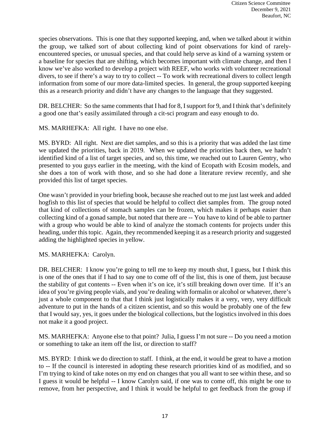species observations. This is one that they supported keeping, and, when we talked about it within the group, we talked sort of about collecting kind of point observations for kind of rarelyencountered species, or unusual species, and that could help serve as kind of a warning system or a baseline for species that are shifting, which becomes important with climate change, and then I know we've also worked to develop a project with REEF, who works with volunteer recreational divers, to see if there's a way to try to collect -- To work with recreational divers to collect length information from some of our more data-limited species. In general, the group supported keeping this as a research priority and didn't have any changes to the language that they suggested.

DR. BELCHER: So the same comments that I had for 8, I support for 9, and I think that's definitely a good one that's easily assimilated through a cit-sci program and easy enough to do.

MS. MARHEFKA: All right. I have no one else.

MS. BYRD: All right. Next are diet samples, and so this is a priority that was added the last time we updated the priorities, back in 2019. When we updated the priorities back then, we hadn't identified kind of a list of target species, and so, this time, we reached out to Lauren Gentry, who presented to you guys earlier in the meeting, with the kind of Ecopath with Ecosim models, and she does a ton of work with those, and so she had done a literature review recently, and she provided this list of target species.

One wasn't provided in your briefing book, because she reached out to me just last week and added hogfish to this list of species that would be helpful to collect diet samples from. The group noted that kind of collections of stomach samples can be frozen, which makes it perhaps easier than collecting kind of a gonad sample, but noted that there are -- You have to kind of be able to partner with a group who would be able to kind of analyze the stomach contents for projects under this heading, under this topic. Again, they recommended keeping it as a research priority and suggested adding the highlighted species in yellow.

### MS. MARHEFKA: Carolyn.

DR. BELCHER: I know you're going to tell me to keep my mouth shut, I guess, but I think this is one of the ones that if I had to say one to come off of the list, this is one of them, just because the stability of gut contents -- Even when it's on ice, it's still breaking down over time. If it's an idea of you're giving people vials, and you're dealing with formalin or alcohol or whatever, there's just a whole component to that that I think just logistically makes it a very, very, very difficult adventure to put in the hands of a citizen scientist, and so this would be probably one of the few that I would say, yes, it goes under the biological collections, but the logistics involved in this does not make it a good project.

MS. MARHEFKA: Anyone else to that point? Julia, I guess I'm not sure -- Do you need a motion or something to take an item off the list, or direction to staff?

MS. BYRD: I think we do direction to staff. I think, at the end, it would be great to have a motion to -- If the council is interested in adopting these research priorities kind of as modified, and so I'm trying to kind of take notes on my end on changes that you all want to see within these, and so I guess it would be helpful -- I know Carolyn said, if one was to come off, this might be one to remove, from her perspective, and I think it would be helpful to get feedback from the group if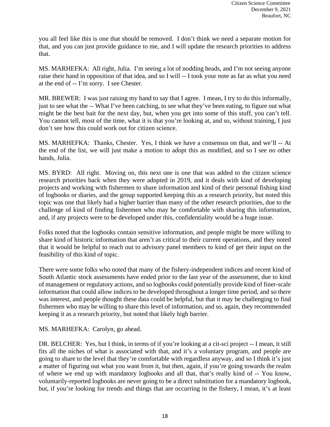you all feel like this is one that should be removed. I don't think we need a separate motion for that, and you can just provide guidance to me, and I will update the research priorities to address that.

MS. MARHEFKA: All right, Julia. I'm seeing a lot of nodding heads, and I'm not seeing anyone raise their hand in opposition of that idea, and so I will -- I took your note as far as what you need at the end of -- I'm sorry. I see Chester.

MR. BREWER: I was just raising my hand to say that I agree. I mean, I try to do this informally, just to see what the -- What I've been catching, to see what they've been eating, to figure out what might be the best bait for the next day, but, when you get into some of this stuff, you can't tell. You cannot tell, most of the time, what it is that you're looking at, and so, without training, I just don't see how this could work out for citizen science.

MS. MARHEFKA: Thanks, Chester. Yes, I think we have a consensus on that, and we'll -- At the end of the list, we will just make a motion to adopt this as modified, and so I see no other hands, Julia.

MS. BYRD: All right. Moving on, this next one is one that was added to the citizen science research priorities back when they were adopted in 2019, and it deals with kind of developing projects and working with fishermen to share information and kind of their personal fishing kind of logbooks or diaries, and the group supported keeping this as a research priority, but noted this topic was one that likely had a higher barrier than many of the other research priorities, due to the challenge of kind of finding fishermen who may be comfortable with sharing this information, and, if any projects were to be developed under this, confidentiality would be a huge issue.

Folks noted that the logbooks contain sensitive information, and people might be more willing to share kind of historic information that aren't as critical to their current operations, and they noted that it would be helpful to reach out to advisory panel members to kind of get their input on the feasibility of this kind of topic.

There were some folks who noted that many of the fishery-independent indices and recent kind of South Atlantic stock assessments have ended prior to the last year of the assessment, due to kind of management or regulatory actions, and so logbooks could potentially provide kind of finer-scale information that could allow indices to be developed throughout a longer time period, and so there was interest, and people thought these data could be helpful, but that it may be challenging to find fishermen who may be willing to share this level of information, and so, again, they recommended keeping it as a research priority, but noted that likely high barrier.

### MS. MARHEFKA: Carolyn, go ahead.

DR. BELCHER: Yes, but I think, in terms of if you're looking at a cit-sci project -- I mean, it still fits all the niches of what is associated with that, and it's a voluntary program, and people are going to share to the level that they're comfortable with regardless anyway, and so I think it's just a matter of figuring out what you want from it, but then, again, if you're going towards the realm of where we end up with mandatory logbooks and all that, that's really kind of -- You know, voluntarily-reported logbooks are never going to be a direct substitution for a mandatory logbook, but, if you're looking for trends and things that are occurring in the fishery, I mean, it's at least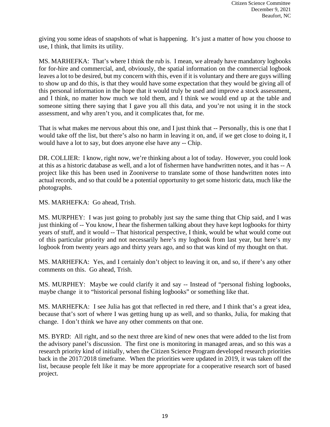giving you some ideas of snapshots of what is happening. It's just a matter of how you choose to use, I think, that limits its utility.

MS. MARHEFKA: That's where I think the rub is. I mean, we already have mandatory logbooks for for-hire and commercial, and, obviously, the spatial information on the commercial logbook leaves a lot to be desired, but my concern with this, even if it is voluntary and there are guys willing to show up and do this, is that they would have some expectation that they would be giving all of this personal information in the hope that it would truly be used and improve a stock assessment, and I think, no matter how much we told them, and I think we would end up at the table and someone sitting there saying that I gave you all this data, and you're not using it in the stock assessment, and why aren't you, and it complicates that, for me.

That is what makes me nervous about this one, and I just think that -- Personally, this is one that I would take off the list, but there's also no harm in leaving it on, and, if we get close to doing it, I would have a lot to say, but does anyone else have any -- Chip.

DR. COLLIER: I know, right now, we're thinking about a lot of today. However, you could look at this as a historic database as well, and a lot of fishermen have handwritten notes, and it has -- A project like this has been used in Zooniverse to translate some of those handwritten notes into actual records, and so that could be a potential opportunity to get some historic data, much like the photographs.

MS. MARHEFKA: Go ahead, Trish.

MS. MURPHEY: I was just going to probably just say the same thing that Chip said, and I was just thinking of -- You know, I hear the fishermen talking about they have kept logbooks for thirty years of stuff, and it would -- That historical perspective, I think, would be what would come out of this particular priority and not necessarily here's my logbook from last year, but here's my logbook from twenty years ago and thirty years ago, and so that was kind of my thought on that.

MS. MARHEFKA: Yes, and I certainly don't object to leaving it on, and so, if there's any other comments on this. Go ahead, Trish.

MS. MURPHEY: Maybe we could clarify it and say -- Instead of "personal fishing logbooks, maybe change it to "historical personal fishing logbooks" or something like that.

MS. MARHEFKA: I see Julia has got that reflected in red there, and I think that's a great idea, because that's sort of where I was getting hung up as well, and so thanks, Julia, for making that change. I don't think we have any other comments on that one.

MS. BYRD: All right, and so the next three are kind of new ones that were added to the list from the advisory panel's discussion. The first one is monitoring in managed areas, and so this was a research priority kind of initially, when the Citizen Science Program developed research priorities back in the 2017/2018 timeframe. When the priorities were updated in 2019, it was taken off the list, because people felt like it may be more appropriate for a cooperative research sort of based project.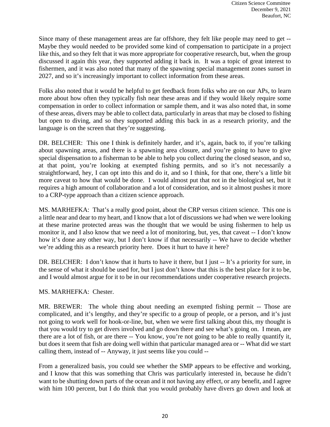Since many of these management areas are far offshore, they felt like people may need to get -- Maybe they would needed to be provided some kind of compensation to participate in a project like this, and so they felt that it was more appropriate for cooperative research, but, when the group discussed it again this year, they supported adding it back in. It was a topic of great interest to fishermen, and it was also noted that many of the spawning special management zones sunset in 2027, and so it's increasingly important to collect information from these areas.

Folks also noted that it would be helpful to get feedback from folks who are on our APs, to learn more about how often they typically fish near these areas and if they would likely require some compensation in order to collect information or sample them, and it was also noted that, in some of these areas, divers may be able to collect data, particularly in areas that may be closed to fishing but open to diving, and so they supported adding this back in as a research priority, and the language is on the screen that they're suggesting.

DR. BELCHER: This one I think is definitely harder, and it's, again, back to, if you're talking about spawning areas, and there is a spawning area closure, and you're going to have to give special dispensation to a fisherman to be able to help you collect during the closed season, and so, at that point, you're looking at exempted fishing permits, and so it's not necessarily a straightforward, hey, I can opt into this and do it, and so I think, for that one, there's a little bit more caveat to how that would be done. I would almost put that not in the biological set, but it requires a high amount of collaboration and a lot of consideration, and so it almost pushes it more to a CRP-type approach than a citizen science approach.

MS. MARHEFKA: That's a really good point, about the CRP versus citizen science. This one is a little near and dear to my heart, and I know that a lot of discussions we had when we were looking at these marine protected areas was the thought that we would be using fishermen to help us monitor it, and I also know that we need a lot of monitoring, but, yes, that caveat -- I don't know how it's done any other way, but I don't know if that necessarily -- We have to decide whether we're adding this as a research priority here. Does it hurt to have it here?

DR. BELCHER: I don't know that it hurts to have it there, but I just -- It's a priority for sure, in the sense of what it should be used for, but I just don't know that this is the best place for it to be, and I would almost argue for it to be in our recommendations under cooperative research projects.

### MS. MARHEFKA: Chester.

MR. BREWER: The whole thing about needing an exempted fishing permit -- Those are complicated, and it's lengthy, and they're specific to a group of people, or a person, and it's just not going to work well for hook-or-line, but, when we were first talking about this, my thought is that you would try to get divers involved and go down there and see what's going on. I mean, are there are a lot of fish, or are there -- You know, you're not going to be able to really quantify it, but does it seem that fish are doing well within that particular managed area or -- What did we start calling them, instead of -- Anyway, it just seems like you could --

From a generalized basis, you could see whether the SMP appears to be effective and working, and I know that this was something that Chris was particularly interested in, because he didn't want to be shutting down parts of the ocean and it not having any effect, or any benefit, and I agree with him 100 percent, but I do think that you would probably have divers go down and look at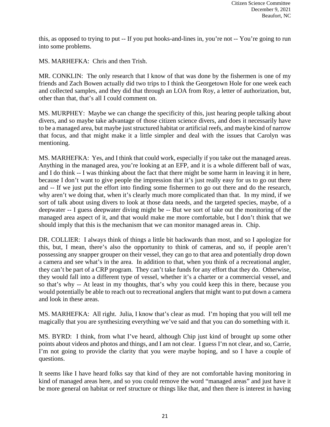this, as opposed to trying to put -- If you put hooks-and-lines in, you're not -- You're going to run into some problems.

MS. MARHEFKA: Chris and then Trish.

MR. CONKLIN: The only research that I know of that was done by the fishermen is one of my friends and Zach Bowen actually did two trips to I think the Georgetown Hole for one week each and collected samples, and they did that through an LOA from Roy, a letter of authorization, but, other than that, that's all I could comment on.

MS. MURPHEY: Maybe we can change the specificity of this, just hearing people talking about divers, and so maybe take advantage of those citizen science divers, and does it necessarily have to be a managed area, but maybe just structured habitat or artificial reefs, and maybe kind of narrow that focus, and that might make it a little simpler and deal with the issues that Carolyn was mentioning.

MS. MARHEFKA: Yes, and I think that could work, especially if you take out the managed areas. Anything in the managed area, you're looking at an EFP, and it is a whole different ball of wax, and I do think -- I was thinking about the fact that there might be some harm in leaving it in here, because I don't want to give people the impression that it's just really easy for us to go out there and -- If we just put the effort into finding some fishermen to go out there and do the research, why aren't we doing that, when it's clearly much more complicated than that. In my mind, if we sort of talk about using divers to look at those data needs, and the targeted species, maybe, of a deepwater -- I guess deepwater diving might be -- But we sort of take out the monitoring of the managed area aspect of it, and that would make me more comfortable, but I don't think that we should imply that this is the mechanism that we can monitor managed areas in. Chip.

DR. COLLIER: I always think of things a little bit backwards than most, and so I apologize for this, but, I mean, there's also the opportunity to think of cameras, and so, if people aren't possessing any snapper grouper on their vessel, they can go to that area and potentially drop down a camera and see what's in the area. In addition to that, when you think of a recreational angler, they can't be part of a CRP program. They can't take funds for any effort that they do. Otherwise, they would fall into a different type of vessel, whether it's a charter or a commercial vessel, and so that's why -- At least in my thoughts, that's why you could keep this in there, because you would potentially be able to reach out to recreational anglers that might want to put down a camera and look in these areas.

MS. MARHEFKA: All right. Julia, I know that's clear as mud. I'm hoping that you will tell me magically that you are synthesizing everything we've said and that you can do something with it.

MS. BYRD: I think, from what I've heard, although Chip just kind of brought up some other points about videos and photos and things, and I am not clear. I guess I'm not clear, and so, Carrie, I'm not going to provide the clarity that you were maybe hoping, and so I have a couple of questions.

It seems like I have heard folks say that kind of they are not comfortable having monitoring in kind of managed areas here, and so you could remove the word "managed areas" and just have it be more general on habitat or reef structure or things like that, and then there is interest in having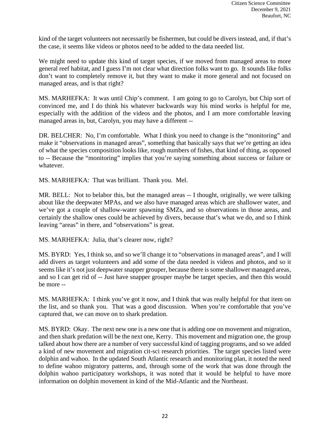kind of the target volunteers not necessarily be fishermen, but could be divers instead, and, if that's the case, it seems like videos or photos need to be added to the data needed list.

We might need to update this kind of target species, if we moved from managed areas to more general reef habitat, and I guess I'm not clear what direction folks want to go. It sounds like folks don't want to completely remove it, but they want to make it more general and not focused on managed areas, and is that right?

MS. MARHEFKA: It was until Chip's comment. I am going to go to Carolyn, but Chip sort of convinced me, and I do think his whatever backwards way his mind works is helpful for me, especially with the addition of the videos and the photos, and I am more comfortable leaving managed areas in, but, Carolyn, you may have a different --

DR. BELCHER: No, I'm comfortable. What I think you need to change is the "monitoring" and make it "observations in managed areas", something that basically says that we're getting an idea of what the species composition looks like, rough numbers of fishes, that kind of thing, as opposed to -- Because the "monitoring" implies that you're saying something about success or failure or whatever.

MS. MARHEFKA: That was brilliant. Thank you. Mel.

MR. BELL: Not to belabor this, but the managed areas -- I thought, originally, we were talking about like the deepwater MPAs, and we also have managed areas which are shallower water, and we've got a couple of shallow-water spawning SMZs, and so observations in those areas, and certainly the shallow ones could be achieved by divers, because that's what we do, and so I think leaving "areas" in there, and "observations" is great.

MS. MARHEFKA: Julia, that's clearer now, right?

MS. BYRD: Yes, I think so, and so we'll change it to "observations in managed areas", and I will add divers as target volunteers and add some of the data needed is videos and photos, and so it seems like it's not just deepwater snapper grouper, because there is some shallower managed areas, and so I can get rid of -- Just have snapper grouper maybe be target species, and then this would be more --

MS. MARHEFKA: I think you've got it now, and I think that was really helpful for that item on the list, and so thank you. That was a good discussion. When you're comfortable that you've captured that, we can move on to shark predation.

MS. BYRD: Okay. The next new one is a new one that is adding one on movement and migration, and then shark predation will be the next one, Kerry. This movement and migration one, the group talked about how there are a number of very successful kind of tagging programs, and so we added a kind of new movement and migration cit-sci research priorities. The target species listed were dolphin and wahoo. In the updated South Atlantic research and monitoring plan, it noted the need to define wahoo migratory patterns, and, through some of the work that was done through the dolphin wahoo participatory workshops, it was noted that it would be helpful to have more information on dolphin movement in kind of the Mid-Atlantic and the Northeast.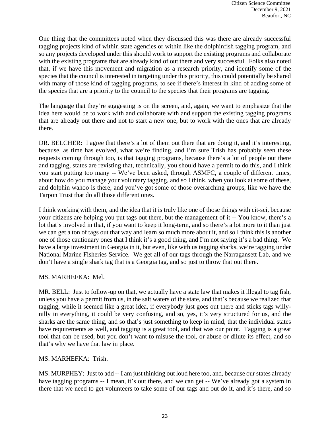One thing that the committees noted when they discussed this was there are already successful tagging projects kind of within state agencies or within like the dolphinfish tagging program, and so any projects developed under this should work to support the existing programs and collaborate with the existing programs that are already kind of out there and very successful. Folks also noted that, if we have this movement and migration as a research priority, and identify some of the species that the council is interested in targeting under this priority, this could potentially be shared with many of those kind of tagging programs, to see if there's interest in kind of adding some of the species that are a priority to the council to the species that their programs are tagging.

The language that they're suggesting is on the screen, and, again, we want to emphasize that the idea here would be to work with and collaborate with and support the existing tagging programs that are already out there and not to start a new one, but to work with the ones that are already there.

DR. BELCHER: I agree that there's a lot of them out there that are doing it, and it's interesting, because, as time has evolved, what we're finding, and I'm sure Trish has probably seen these requests coming through too, is that tagging programs, because there's a lot of people out there and tagging, states are revisting that, technically, you should have a permit to do this, and I think you start putting too many -- We've been asked, through ASMFC, a couple of different times, about how do you manage your voluntary tagging, and so I think, when you look at some of these, and dolphin wahoo is there, and you've got some of those overarching groups, like we have the Tarpon Trust that do all those different ones.

I think working with them, and the idea that it is truly like one of those things with cit-sci, because your citizens are helping you put tags out there, but the management of it -- You know, there's a lot that's involved in that, if you want to keep it long-term, and so there's a lot more to it than just we can get a ton of tags out that way and learn so much more about it, and so I think this is another one of those cautionary ones that I think it's a good thing, and I'm not saying it's a bad thing. We have a large investment in Georgia in it, but even, like with us tagging sharks, we're tagging under National Marine Fisheries Service. We get all of our tags through the Narragansett Lab, and we don't have a single shark tag that is a Georgia tag, and so just to throw that out there.

### MS. MARHEFKA: Mel.

MR. BELL: Just to follow-up on that, we actually have a state law that makes it illegal to tag fish, unless you have a permit from us, in the salt waters of the state, and that's because we realized that tagging, while it seemed like a great idea, if everybody just goes out there and sticks tags willynilly in everything, it could be very confusing, and so, yes, it's very structured for us, and the sharks are the same thing, and so that's just something to keep in mind, that the individual states have requirements as well, and tagging is a great tool, and that was our point. Tagging is a great tool that can be used, but you don't want to misuse the tool, or abuse or dilute its effect, and so that's why we have that law in place.

### MS. MARHEFKA: Trish.

MS. MURPHEY: Just to add -- I am just thinking out loud here too, and, because our states already have tagging programs -- I mean, it's out there, and we can get -- We've already got a system in there that we need to get volunteers to take some of our tags and out do it, and it's there, and so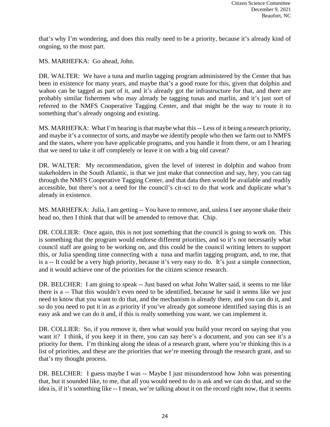that's why I'm wondering, and does this really need to be a priority, because it's already kind of ongoing, to the most part.

MS. MARHEFKA: Go ahead, John.

DR. WALTER: We have a tuna and marlin tagging program administered by the Center that has been in existence for many years, and maybe that's a good route for this, given that dolphin and wahoo can be tagged as part of it, and it's already got the infrastructure for that, and there are probably similar fishermen who may already be tagging tunas and marlin, and it's just sort of referred to the NMFS Cooperative Tagging Center, and that might be the way to route it to something that's already ongoing and existing.

MS. MARHEFKA: What I'm hearing is that maybe what this -- Less of it being a research priority, and maybe it's a connector of sorts, and maybe we identify people who then we farm out to NMFS and the states, where you have applicable programs, and you handle it from there, or am I hearing that we need to take it off completely or leave it on with a big old caveat?

DR. WALTER: My recommendation, given the level of interest in dolphin and wahoo from stakeholders in the South Atlantic, is that we just make that connection and say, hey, you can tag through the NMFS Cooperative Tagging Center, and that data then would be available and readily accessible, but there's not a need for the council's cit-sci to do that work and duplicate what's already in existence.

MS. MARHEFKA: Julia, I am getting -- You have to remove, and, unless I see anyone shake their head no, then I think that that will be amended to remove that. Chip.

DR. COLLIER: Once again, this is not just something that the council is going to work on. This is something that the program would endorse different priorities, and so it's not necessarily what council staff are going to be working on, and this could be the council writing letters to support this, or Julia spending time connecting with a tuna and marlin tagging program, and, to me, that is a -- It could be a very high priority, because it's very easy to do. It's just a simple connection, and it would achieve one of the priorities for the citizen science research.

DR. BELCHER: I am going to speak -- Just based on what John Walter said, it seems to me like there is a -- That this wouldn't even need to be identified, because he said it seems like we just need to know that you want to do that, and the mechanism is already there, and you can do it, and so do you need to put it in as a priority if you've already got someone identified saying this is an easy ask and we can do it and, if this is really something you want, we can implement it.

DR. COLLIER: So, if you remove it, then what would you build your record on saying that you want it? I think, if you keep it in there, you can say here's a document, and you can see it's a priority for them. I'm thinking along the ideas of a research grant, where you're thinking this is a list of priorities, and these are the priorities that we're meeting through the research grant, and so that's my thought process.

DR. BELCHER: I guess maybe I was -- Maybe I just misunderstood how John was presenting that, but it sounded like, to me, that all you would need to do is ask and we can do that, and so the idea is, if it's something like -- I mean, we're talking about it on the record right now, that it seems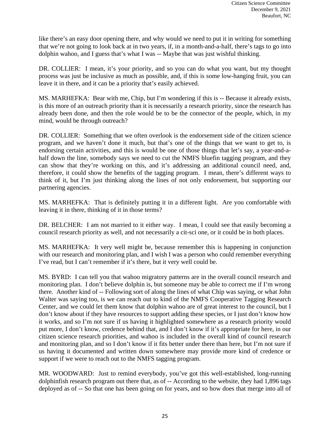like there's an easy door opening there, and why would we need to put it in writing for something that we're not going to look back at in two years, if, in a month-and-a-half, there's tags to go into dolphin wahoo, and I guess that's what I was -- Maybe that was just wishful thinking.

DR. COLLIER: I mean, it's your priority, and so you can do what you want, but my thought process was just be inclusive as much as possible, and, if this is some low-hanging fruit, you can leave it in there, and it can be a priority that's easily achieved.

MS. MARHEFKA: Bear with me, Chip, but I'm wondering if this is -- Because it already exists, is this more of an outreach priority than it is necessarily a research priority, since the research has already been done, and then the role would be to be the connector of the people, which, in my mind, would be through outreach?

DR. COLLIER: Something that we often overlook is the endorsement side of the citizen science program, and we haven't done it much, but that's one of the things that we want to get to, is endorsing certain activities, and this is would be one of those things that let's say, a year-and-ahalf down the line, somebody says we need to cut the NMFS bluefin tagging program, and they can show that they're working on this, and it's addressing an additional council need, and, therefore, it could show the benefits of the tagging program. I mean, there's different ways to think of it, but I'm just thinking along the lines of not only endorsement, but supporting our partnering agencies.

MS. MARHEFKA: That is definitely putting it in a different light. Are you comfortable with leaving it in there, thinking of it in those terms?

DR. BELCHER: I am not married to it either way. I mean, I could see that easily becoming a council research priority as well, and not necessarily a cit-sci one, or it could be in both places.

MS. MARHEFKA: It very well might be, because remember this is happening in conjunction with our research and monitoring plan, and I wish I was a person who could remember everything I've read, but I can't remember if it's there, but it very well could be.

MS. BYRD: I can tell you that wahoo migratory patterns are in the overall council research and monitoring plan. I don't believe dolphin is, but someone may be able to correct me if I'm wrong there. Another kind of -- Following sort of along the lines of what Chip was saying, or what John Walter was saying too, is we can reach out to kind of the NMFS Cooperative Tagging Research Center, and we could let them know that dolphin wahoo are of great interest to the council, but I don't know about if they have resources to support adding these species, or I just don't know how it works, and so I'm not sure if us having it highlighted somewhere as a research priority would put more, I don't know, credence behind that, and I don't know if it's appropriate for here, in our citizen science research priorities, and wahoo is included in the overall kind of council research and monitoring plan, and so I don't know if it fits better under there than here, but I'm not sure if us having it documented and written down somewhere may provide more kind of credence or support if we were to reach out to the NMFS tagging program.

MR. WOODWARD: Just to remind everybody, you've got this well-established, long-running dolphinfish research program out there that, as of -- According to the website, they had 1,896 tags deployed as of -- So that one has been going on for years, and so how does that merge into all of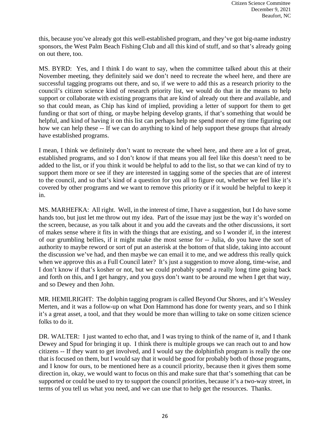this, because you've already got this well-established program, and they've got big-name industry sponsors, the West Palm Beach Fishing Club and all this kind of stuff, and so that's already going on out there, too.

MS. BYRD: Yes, and I think I do want to say, when the committee talked about this at their November meeting, they definitely said we don't need to recreate the wheel here, and there are successful tagging programs out there, and so, if we were to add this as a research priority to the council's citizen science kind of research priority list, we would do that in the means to help support or collaborate with existing programs that are kind of already out there and available, and so that could mean, as Chip has kind of implied, providing a letter of support for them to get funding or that sort of thing, or maybe helping develop grants, if that's something that would be helpful, and kind of having it on this list can perhaps help me spend more of my time figuring out how we can help these -- If we can do anything to kind of help support these groups that already have established programs.

I mean, I think we definitely don't want to recreate the wheel here, and there are a lot of great, established programs, and so I don't know if that means you all feel like this doesn't need to be added to the list, or if you think it would be helpful to add to the list, so that we can kind of try to support them more or see if they are interested in tagging some of the species that are of interest to the council, and so that's kind of a question for you all to figure out, whether we feel like it's covered by other programs and we want to remove this priority or if it would be helpful to keep it in.

MS. MARHEFKA: All right. Well, in the interest of time, I have a suggestion, but I do have some hands too, but just let me throw out my idea. Part of the issue may just be the way it's worded on the screen, because, as you talk about it and you add the caveats and the other discussions, it sort of makes sense where it fits in with the things that are existing, and so I wonder if, in the interest of our grumbling bellies, if it might make the most sense for -- Julia, do you have the sort of authority to maybe reword or sort of put an asterisk at the bottom of that slide, taking into account the discussion we've had, and then maybe we can email it to me, and we address this really quick when we approve this as a Full Council later? It's just a suggestion to move along, time-wise, and I don't know if that's kosher or not, but we could probably spend a really long time going back and forth on this, and I get hangry, and you guys don't want to be around me when I get that way, and so Dewey and then John.

MR. HEMILRIGHT: The dolphin tagging program is called Beyond Our Shores, and it's Wessley Merten, and it was a follow-up on what Don Hammond has done for twenty years, and so I think it's a great asset, a tool, and that they would be more than willing to take on some citizen science folks to do it.

DR. WALTER: I just wanted to echo that, and I was trying to think of the name of it, and I thank Dewey and Spud for bringing it up. I think there is multiple groups we can reach out to and how citizens -- If they want to get involved, and I would say the dolphinfish program is really the one that is focused on them, but I would say that it would be good for probably both of those programs, and I know for ours, to be mentioned here as a council priority, because then it gives them some direction in, okay, we would want to focus on this and make sure that that's something that can be supported or could be used to try to support the council priorities, because it's a two-way street, in terms of you tell us what you need, and we can use that to help get the resources. Thanks.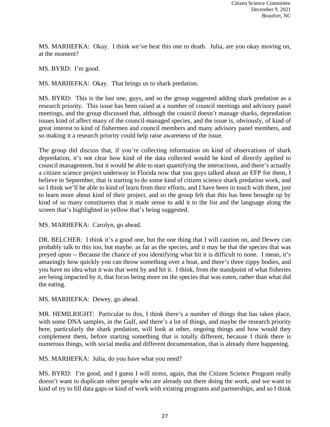MS. MARHEFKA: Okay. I think we've beat this one to death. Julia, are you okay moving on, at the moment?

MS. BYRD: I'm good.

MS. MARHEFKA: Okay. That brings us to shark predation.

MS. BYRD: This is the last one, guys, and so the group suggested adding shark predation as a research priority. This issue has been raised at a number of council meetings and advisory panel meetings, and the group discussed that, although the council doesn't manage sharks, depredation issues kind of affect many of the council-managed species, and the issue is, obviously, of kind of great interest to kind of fishermen and council members and many advisory panel members, and so making it a research priority could help raise awareness of the issue.

The group did discuss that, if you're collecting information on kind of observations of shark depredation, it's not clear how kind of the data collected would be kind of directly applied to council management, but it would be able to start quantifying the interactions, and there's actually a citizen science project underway in Florida now that you guys talked about an EFP for them, I believe in September, that is starting to do some kind of citizen science shark predation work, and so I think we'll be able to kind of learn from their efforts, and I have been in touch with them, just to learn more about kind of their project, and so the group felt that this has been brought up by kind of so many constituents that it made sense to add it to the list and the language along the screen that's highlighted in yellow that's being suggested.

MS. MARHEFKA: Carolyn, go ahead.

DR. BELCHER: I think it's a good one, but the one thing that I will caution on, and Dewey can probably talk to this too, but maybe, as far as the species, and it may be that the species that was preyed upon -- Because the chance of you identifying what hit it is difficult to none. I mean, it's amazingly how quickly you can throw something over a boat, and there's three zippy bodies, and you have no idea what it was that went by and hit it. I think, from the standpoint of what fisheries are being impacted by it, that focus being more on the species that was eaten, rather than what did the eating.

MS. MARHEFKA: Dewey, go ahead.

MR. HEMILRIGHT: Particular to this, I think there's a number of things that has taken place, with some DNA samples, in the Gulf, and there's a lot of things, and maybe the research priority here, particularly the shark predation, will look at other, ongoing things and how would they complement them, before starting something that is totally different, because I think there is numerous things, with social media and different documentation, that is already there happening.

MS. MARHEFKA: Julia, do you have what you need?

MS. BYRD: I'm good, and I guess I will stress, again, that the Citizen Science Program really doesn't want to duplicate other people who are already out there doing the work, and we want to kind of try to fill data gaps or kind of work with existing programs and partnerships, and so I think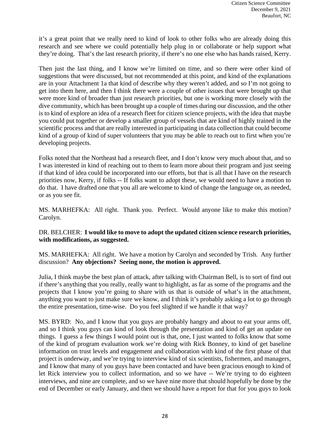it's a great point that we really need to kind of look to other folks who are already doing this research and see where we could potentially help plug in or collaborate or help support what they're doing. That's the last research priority, if there's no one else who has hands raised, Kerry.

Then just the last thing, and I know we're limited on time, and so there were other kind of suggestions that were discussed, but not recommended at this point, and kind of the explanations are in your Attachment 1a that kind of describe why they weren't added, and so I'm not going to get into them here, and then I think there were a couple of other issues that were brought up that were more kind of broader than just research priorities, but one is working more closely with the dive community, which has been brought up a couple of times during our discussion, and the other is to kind of explore an idea of a research fleet for citizen science projects, with the idea that maybe you could put together or develop a smaller group of vessels that are kind of highly trained in the scientific process and that are really interested in participating in data collection that could become kind of a group of kind of super volunteers that you may be able to reach out to first when you're developing projects.

Folks noted that the Northeast had a research fleet, and I don't know very much about that, and so I was interested in kind of reaching out to them to learn more about their program and just seeing if that kind of idea could be incorporated into our efforts, but that is all that I have on the research priorities now, Kerry, if folks -- If folks want to adopt these, we would need to have a motion to do that. I have drafted one that you all are welcome to kind of change the language on, as needed, or as you see fit.

MS. MARHEFKA: All right. Thank you. Perfect. Would anyone like to make this motion? Carolyn.

### DR. BELCHER: **I would like to move to adopt the updated citizen science research priorities, with modifications, as suggested.**

MS. MARHEFKA: All right. We have a motion by Carolyn and seconded by Trish. Any further discussion? **Any objections? Seeing none, the motion is approved.** 

Julia, I think maybe the best plan of attack, after talking with Chairman Bell, is to sort of find out if there's anything that you really, really want to highlight, as far as some of the programs and the projects that I know you're going to share with us that is outside of what's in the attachment, anything you want to just make sure we know, and I think it's probably asking a lot to go through the entire presentation, time-wise. Do you feel slighted if we handle it that way?

MS. BYRD: No, and I know that you guys are probably hangry and about to eat your arms off, and so I think you guys can kind of look through the presentation and kind of get an update on things. I guess a few things I would point out is that, one, I just wanted to folks know that some of the kind of program evaluation work we're doing with Rick Bonney, to kind of get baseline information on trust levels and engagement and collaboration with kind of the first phase of that project is underway, and we're trying to interview kind of six scientists, fishermen, and managers, and I know that many of you guys have been contacted and have been gracious enough to kind of let Rick interview you to collect information, and so we have -- We're trying to do eighteen interviews, and nine are complete, and so we have nine more that should hopefully be done by the end of December or early January, and then we should have a report for that for you guys to look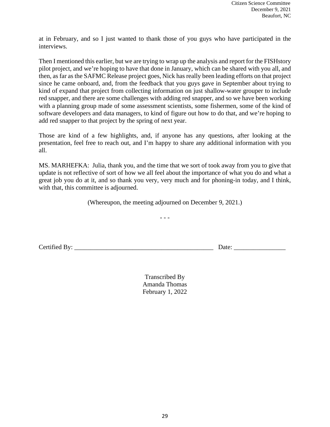at in February, and so I just wanted to thank those of you guys who have participated in the interviews.

Then I mentioned this earlier, but we are trying to wrap up the analysis and report for the FISHstory pilot project, and we're hoping to have that done in January, which can be shared with you all, and then, as far as the SAFMC Release project goes, Nick has really been leading efforts on that project since he came onboard, and, from the feedback that you guys gave in September about trying to kind of expand that project from collecting information on just shallow-water grouper to include red snapper, and there are some challenges with adding red snapper, and so we have been working with a planning group made of some assessment scientists, some fishermen, some of the kind of software developers and data managers, to kind of figure out how to do that, and we're hoping to add red snapper to that project by the spring of next year.

Those are kind of a few highlights, and, if anyone has any questions, after looking at the presentation, feel free to reach out, and I'm happy to share any additional information with you all.

MS. MARHEFKA: Julia, thank you, and the time that we sort of took away from you to give that update is not reflective of sort of how we all feel about the importance of what you do and what a great job you do at it, and so thank you very, very much and for phoning-in today, and I think, with that, this committee is adjourned.

(Whereupon, the meeting adjourned on December 9, 2021.)

- - -

Certified By: <u>Date:</u>

Transcribed By Amanda Thomas February 1, 2022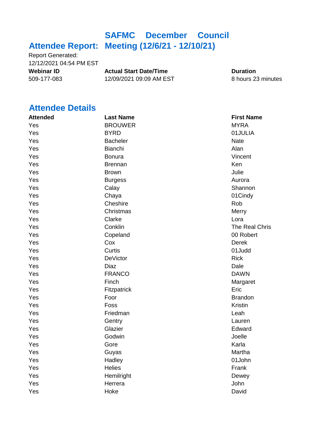## **Attendee Report: Meeting (12/6/21 - 12/10/21) SAFMC December Council**

Report Generated: 12/12/2021 04:54 PM EST

**Webinar ID Actual Start Date/Time Duration**<br>509-177-083 12/09/2021 09:09 AM EST 8 hours 2: 509-177-083 12/09/2021 09:09 AM EST 8 hours 23 minutes

### **Attendee Details**

| <b>Attended</b> | <b>Last Name</b> | <b>First Name</b> |
|-----------------|------------------|-------------------|
| Yes             | <b>BROUWER</b>   | <b>MYRA</b>       |
| Yes             | <b>BYRD</b>      | 01JULIA           |
| Yes             | <b>Bacheler</b>  | <b>Nate</b>       |
| Yes             | Bianchi          | Alan              |
| Yes             | <b>Bonura</b>    | Vincent           |
| Yes             | <b>Brennan</b>   | Ken               |
| Yes             | <b>Brown</b>     | Julie             |
| Yes             | <b>Burgess</b>   | Aurora            |
| Yes             | Calay            | Shannon           |
| Yes             | Chaya            | 01Cindy           |
| Yes             | Cheshire         | Rob               |
| Yes             | Christmas        | Merry             |
| Yes             | Clarke           | Lora              |
| Yes             | Conklin          | The Real Chris    |
| Yes             | Copeland         | 00 Robert         |
| Yes             | Cox              | <b>Derek</b>      |
| Yes             | Curtis           | 01Judd            |
| Yes             | <b>DeVictor</b>  | <b>Rick</b>       |
| Yes             | <b>Diaz</b>      | Dale              |
| Yes             | <b>FRANCO</b>    | <b>DAWN</b>       |
| Yes             | Finch            | Margaret          |
| Yes             | Fitzpatrick      | Eric              |
| Yes             | Foor             | <b>Brandon</b>    |
| Yes             | Foss             | Kristin           |
| Yes             | Friedman         | Leah              |
| Yes             | Gentry           | Lauren            |
| Yes             | Glazier          | Edward            |
| Yes             | Godwin           | Joelle            |
| Yes             | Gore             | Karla             |
| Yes             | Guyas            | Martha            |
| Yes             | Hadley           | 01John            |
| Yes             | <b>Helies</b>    | Frank             |
| Yes             | Hemilright       | Dewey             |
| Yes             | Herrera          | John              |
| Yes             | Hoke             | David             |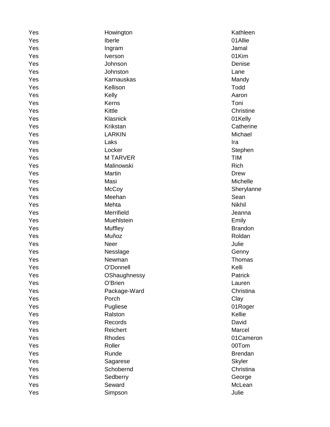| Yes | Howington      | Kathleen       |
|-----|----------------|----------------|
| Yes | Iberle         | 01Allie        |
| Yes | Ingram         | Jamal          |
| Yes | Iverson        | 01Kim          |
| Yes | Johnson        | Denise         |
| Yes | Johnston       | Lane           |
| Yes | Karnauskas     | Mandy          |
| Yes | Kellison       | Todd           |
| Yes | Kelly          | Aaron          |
| Yes | Kerns          | Toni           |
| Yes | Kittle         | Christine      |
| Yes | Klasnick       | 01Kelly        |
| Yes | Krikstan       | Catherine      |
| Yes | <b>LARKIN</b>  | Michael        |
| Yes | Laks           | Ira            |
| Yes | Locker         | Stephen        |
| Yes | <b>MTARVER</b> | <b>TIM</b>     |
| Yes | Malinowski     | Rich           |
| Yes | Martin         | <b>Drew</b>    |
| Yes | Masi           | Michelle       |
| Yes | McCoy          | Sherylanne     |
| Yes | Meehan         | Sean           |
| Yes | Mehta          | <b>Nikhil</b>  |
| Yes | Merrifield     | Jeanna         |
| Yes | Muehlstein     | Emily          |
| Yes | Muffley        | <b>Brandon</b> |
| Yes | Muñoz          | Roldan         |
| Yes | Neer           | Julie          |
| Yes | Nesslage       | Genny          |
| Yes | Newman         | Thomas         |
| Yes | O'Donnell      | Kelli          |
| Yes | OShaughnessy   | Patrick        |
| Yes | O'Brien        | Lauren         |
| Yes | Package-Ward   | Christina      |
| Yes | Porch          | Clay           |
| Yes | Pugliese       | 01Roger        |
| Yes | Ralston        | Kellie         |
| Yes | Records        | David          |
| Yes | Reichert       | Marcel         |
| Yes | Rhodes         | 01Cameron      |
| Yes | Roller         | 00Tom          |
| Yes | Runde          | <b>Brendan</b> |
| Yes | Sagarese       | <b>Skyler</b>  |
| Yes | Schobernd      | Christina      |
| Yes | Sedberry       | George         |
| Yes | Seward         | McLean         |
| Yes | Simpson        | Julie          |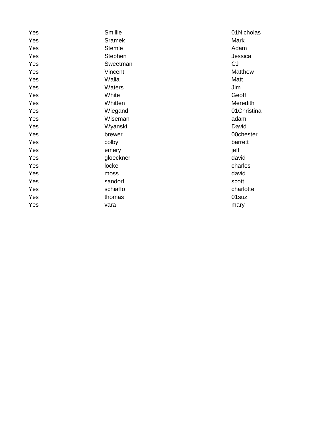| Smillie       | 01Nicholas  |
|---------------|-------------|
| Sramek        | Mark        |
| <b>Stemle</b> | Adam        |
| Stephen       | Jessica     |
| Sweetman      | <b>CJ</b>   |
| Vincent       | Matthew     |
| Walia         | Matt        |
| Waters        | Jim         |
| White         | Geoff       |
| Whitten       | Meredith    |
| Wiegand       | 01Christina |
| Wiseman       | adam        |
| Wyanski       | David       |
| brewer        | 00chester   |
| colby         | barrett     |
| emery         | jeff        |
| gloeckner     | david       |
| locke         | charles     |
| moss          | david       |
| sandorf       | scott       |
| schiaffo      | charlotte   |
| thomas        | 01suz       |
| vara          | mary        |
|               |             |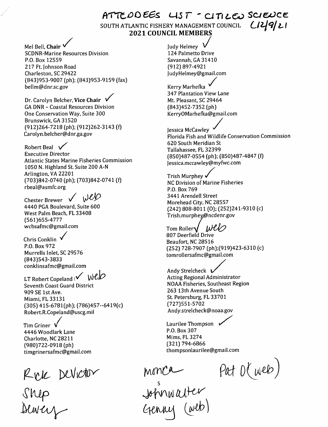$ATTEDO EES$   $UST$  -  $CITICE$  SCIEUCE SOUTH ATLANTIC FISHERY MANAGEMENT COUNCIL 2021 COUNCIL MEMBERS LI

Mel Bell, Chair V SCDNR-Marine Resources Division P.O. Box 12559 217 Ft. Johnson Road Charleston, SC 29422 (843)953-9007 [ph); [843)953-9159 [fax) bellm@dnr.sc.gov Kerry Marhefka

Dr. Carolyn Belcher, Vice Chair \ GA DNR - Coastal Resources Division One Conservation Way, Suite 300 Brunswick, GA 31520 [912)264-7218 [ph); [912)262-3143 [f) Carolyn.belcher@dnr.ga.gov

Robert Beal  $\sqrt{}$ Executive Director Atlantic States Marine Fisheries Commission 1050 N. Highland St. Suite 200 A-N Arlington, VA 22201 [703)842-0740 [ph); [703)842-0741 [f) rbeal@asmfc.org

Web Chester Brewer  $\sqrt{}$ 4440 PGA Boulevard, Suite 600 West Palm Beach, FL 33408 [561)655-4777

wcbsafmc@gmail.com<br>Chris Conklin P.O. Box 972 Murrells Inlet, SC 29576 [843)543-3833 conklinsafmc@gmail.com

LT Robert Copeland ( $\sqrt{WCD}$ Seventh Coast Guard District 909 SE 1st Ave. Miami, FL 33131 [305) 415-6781[ph); [786)457-6419[c) Robert.R.Copeland@uscg.mil

Tim Griner V 4446 Woodlark Lane Charlotte, NC 28211 [980)722-0918 [ph) timgrinersafmc@gmail.com

Rek Devictor<br>Shep<br>Blorcy

**Judy Helmey** 124 Palmetto Drive Savannah, GA 31410 [912) 897-4921 judyHelmey@gmail.com mail.com<br>  $\bigvee$ 

347 Plantation View Lane Mt. Pleasant, SC 29464 [843)452-7352 [ph) KerryOMarhefka@gmail.com

Jessica McCawley Florida Fish and Wildlife Conservation Commission 620 South Meridian St Tallahassee, FL 32399 (850)487-0554 (ph); (850)487-4847 (f) Jessica.mccawley@myfwc.com

(850)487-0554 (pn);<br>Jessica.mccawley@m<br>Trish Murphey NC Division of Marine Fisheries P.O. Box 769 3441 Arendell Street Morehead City, NC 28557 [242) 808-8011 [0); [252)241-9310 [c) Trish.murphey@ncdenr.gov

Tom Roller $\sqrt{\frac{WUV}{V}}$ 807 Deerfield Drive Beaufort, NC 28516 [252) 728-7907 [ph);[919)423-6310 [c) tomrollersafmc@gmail.com

Andy Strelcheck  $V$ Acting Regional Administrator NOAA Fisheries, Southeast Region 263 13th Avenue South St. Petersburg, FL 33701 [727)551-5702 Andy.strelcheck@noaa.gov

%peland@uscg.mil<br>
and May.stretcheck@r<br>
Laurilee Thompson<br>
P.O. Box 307 P.O. Box 307 Mims, FL3274 [321) 794-6866 thompsonlaurilee@gmail.com

Pat O(web)

monca<br>Johnwalter<br>Genny (web)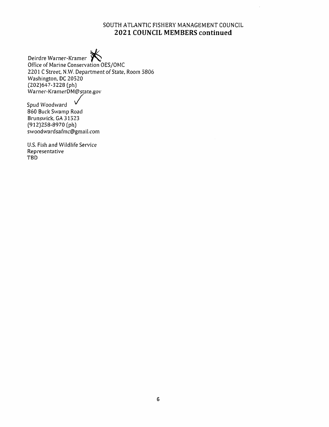### SOUTH ATLANTIC FISHERY MANAGEMENT COUNCIL 2021 COUNCIL MEMBERS continued

 $\ddot{\phantom{a}}$ 

Deirdre Warner-Kramer  $\bigtimes$ Office of Marine Conservation OES/OMC 2201 C Street. N.W. Department of State, Room 5806 Washington, DC 20520 [202)647-3228 (ph) VV'arner-KramerDM@state.gov

Spud Woodward 860 Buck Swamp Road Brunswick, GA 31523 (912)258-8970 (ph) swoodwardsafmc@gmail.com

U.S. Fish and Wildlife Service Representative TBD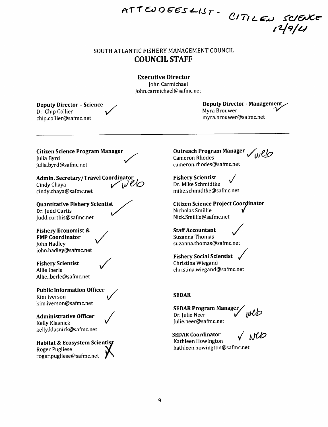### SOUTH ATLANTIC FISHERY MANAGEMENT COUNCIL COUNCIL STAFF

ATTENDEES LIST

Executive Director john Carmichael john.carmichaeI@safmc.net

Deputy Director - Science Dr. Chip Collier chip.collier@safmc.net

Deputy Director - Management Myra Brouwer myra.brouwer@safmc.net

/

Citizen Science Program Manager |ulia Byrd julia.byrd@safmc.net

Admin. Secretary/Travel Coordinator<br>Cindy Chaya Cindy Chaya  $\bigvee \bigvee$ cindy.chaya@safmc.net

Quantitative Fishery Scientist Dr. ludd Curtis |udd.curthis@safmc.net

Fishery Economist & FMP Coordinator John Hadley john.hadley@safmc.net

Fishery Scientist Allie Iberle AMie.iberle@safmc.net

Public Information Officer Kim Iverson kim.iverson@safmc.net

Administrative Officer Kelly Klasnick kelly.klasnick@safmc.net

Habitat & Ecosystem Scientist Roger Pugliese roger.pugliese@safmc.net / '



Outreach Program Manager web Cameron Rhodes cameron.rhodes@safmc.net

Fishery Scientist Dr. Mike Schmidtke mike.schmidtke@safmc.net

Citizen Science Project Coordinator Nicholas Smillie Nick.Smillie@safmc.net

Staff Accountant Suzanna Thomas suzanna.thomas@safmc.net

Fishery Social Scientist Christina Wiegand christina.wiegand@safmc.net

### SEDAR

**SEDAR Program Manager** Dr. Julie Neer Julie.neer@safmc.net

SEDAR Coordinator Kathleen Howington kathleen.howington@safmc.net